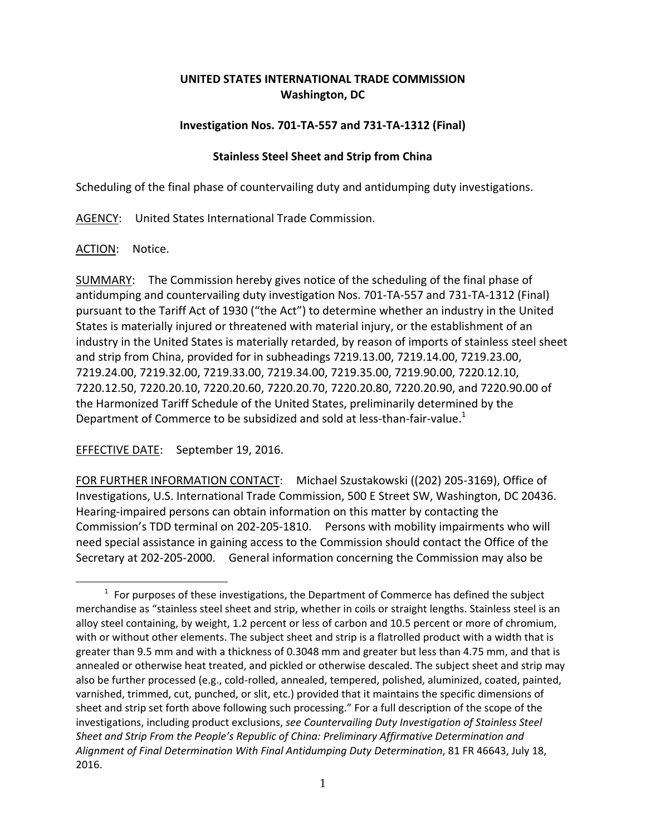## **UNITED STATES INTERNATIONAL TRADE COMMISSION Washington, DC**

## **Investigation Nos. 701‐TA‐557 and 731‐TA‐1312 (Final)**

## **Stainless Steel Sheet and Strip from China**

Scheduling of the final phase of countervailing duty and antidumping duty investigations.

AGENCY: United States International Trade Commission.

ACTION: Notice.

1

SUMMARY: The Commission hereby gives notice of the scheduling of the final phase of antidumping and countervailing duty investigation Nos. 701‐TA‐557 and 731‐TA‐1312 (Final) pursuant to the Tariff Act of 1930 ("the Act") to determine whether an industry in the United States is materially injured or threatened with material injury, or the establishment of an industry in the United States is materially retarded, by reason of imports of stainless steel sheet and strip from China, provided for in subheadings 7219.13.00, 7219.14.00, 7219.23.00, 7219.24.00, 7219.32.00, 7219.33.00, 7219.34.00, 7219.35.00, 7219.90.00, 7220.12.10, 7220.12.50, 7220.20.10, 7220.20.60, 7220.20.70, 7220.20.80, 7220.20.90, and 7220.90.00 of the Harmonized Tariff Schedule of the United States, preliminarily determined by the Department of Commerce to be subsidized and sold at less-than-fair-value.<sup>1</sup>

EFFECTIVE DATE: September 19, 2016.

FOR FURTHER INFORMATION CONTACT: Michael Szustakowski ((202) 205‐3169), Office of Investigations, U.S. International Trade Commission, 500 E Street SW, Washington, DC 20436. Hearing‐impaired persons can obtain information on this matter by contacting the Commission's TDD terminal on 202‐205‐1810. Persons with mobility impairments who will need special assistance in gaining access to the Commission should contact the Office of the Secretary at 202‐205‐2000. General information concerning the Commission may also be

 $1$  For purposes of these investigations, the Department of Commerce has defined the subject merchandise as "stainless steel sheet and strip, whether in coils or straight lengths. Stainless steel is an alloy steel containing, by weight, 1.2 percent or less of carbon and 10.5 percent or more of chromium, with or without other elements. The subject sheet and strip is a flatrolled product with a width that is greater than 9.5 mm and with a thickness of 0.3048 mm and greater but less than 4.75 mm, and that is annealed or otherwise heat treated, and pickled or otherwise descaled. The subject sheet and strip may also be further processed (e.g., cold‐rolled, annealed, tempered, polished, aluminized, coated, painted, varnished, trimmed, cut, punched, or slit, etc.) provided that it maintains the specific dimensions of sheet and strip set forth above following such processing." For a full description of the scope of the investigations, including product exclusions, *see Countervailing Duty Investigation of Stainless Steel Sheet and Strip From the People's Republic of China: Preliminary Affirmative Determination and Alignment of Final Determination With Final Antidumping Duty Determination*, 81 FR 46643, July 18, 2016.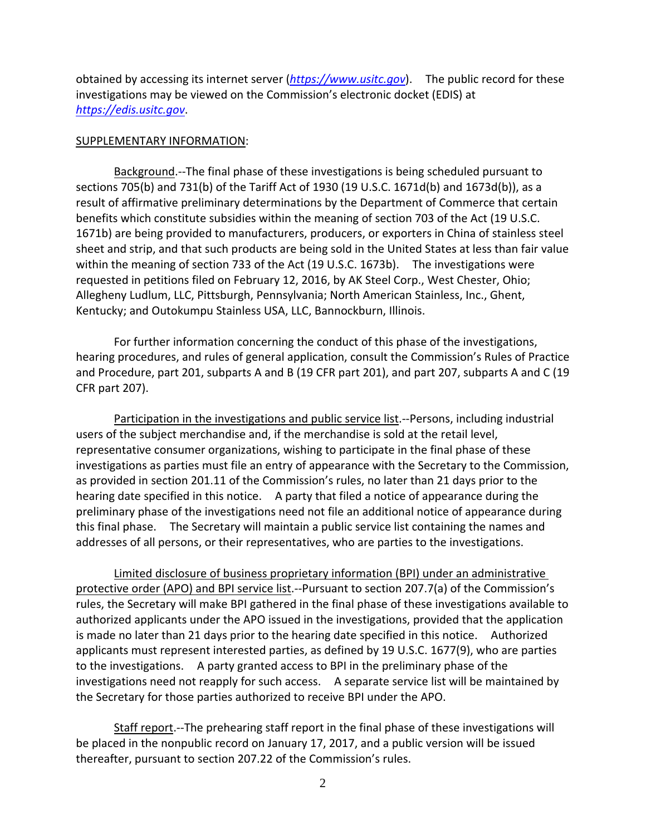obtained by accessing its internet server (*https://www.usitc.gov*). The public record for these investigations may be viewed on the Commission's electronic docket (EDIS) at *https://edis.usitc.gov*.

## SUPPLEMENTARY INFORMATION:

Background.‐‐The final phase of these investigations is being scheduled pursuant to sections 705(b) and 731(b) of the Tariff Act of 1930 (19 U.S.C. 1671d(b) and 1673d(b)), as a result of affirmative preliminary determinations by the Department of Commerce that certain benefits which constitute subsidies within the meaning of section 703 of the Act (19 U.S.C. 1671b) are being provided to manufacturers, producers, or exporters in China of stainless steel sheet and strip, and that such products are being sold in the United States at less than fair value within the meaning of section 733 of the Act (19 U.S.C. 1673b). The investigations were requested in petitions filed on February 12, 2016, by AK Steel Corp., West Chester, Ohio; Allegheny Ludlum, LLC, Pittsburgh, Pennsylvania; North American Stainless, Inc., Ghent, Kentucky; and Outokumpu Stainless USA, LLC, Bannockburn, Illinois.

For further information concerning the conduct of this phase of the investigations, hearing procedures, and rules of general application, consult the Commission's Rules of Practice and Procedure, part 201, subparts A and B (19 CFR part 201), and part 207, subparts A and C (19 CFR part 207).

Participation in the investigations and public service list.‐‐Persons, including industrial users of the subject merchandise and, if the merchandise is sold at the retail level, representative consumer organizations, wishing to participate in the final phase of these investigations as parties must file an entry of appearance with the Secretary to the Commission, as provided in section 201.11 of the Commission's rules, no later than 21 days prior to the hearing date specified in this notice. A party that filed a notice of appearance during the preliminary phase of the investigations need not file an additional notice of appearance during this final phase. The Secretary will maintain a public service list containing the names and addresses of all persons, or their representatives, who are parties to the investigations.

Limited disclosure of business proprietary information (BPI) under an administrative protective order (APO) and BPI service list.‐‐Pursuant to section 207.7(a) of the Commission's rules, the Secretary will make BPI gathered in the final phase of these investigations available to authorized applicants under the APO issued in the investigations, provided that the application is made no later than 21 days prior to the hearing date specified in this notice. Authorized applicants must represent interested parties, as defined by 19 U.S.C. 1677(9), who are parties to the investigations. A party granted access to BPI in the preliminary phase of the investigations need not reapply for such access. A separate service list will be maintained by the Secretary for those parties authorized to receive BPI under the APO.

Staff report. --The prehearing staff report in the final phase of these investigations will be placed in the nonpublic record on January 17, 2017, and a public version will be issued thereafter, pursuant to section 207.22 of the Commission's rules.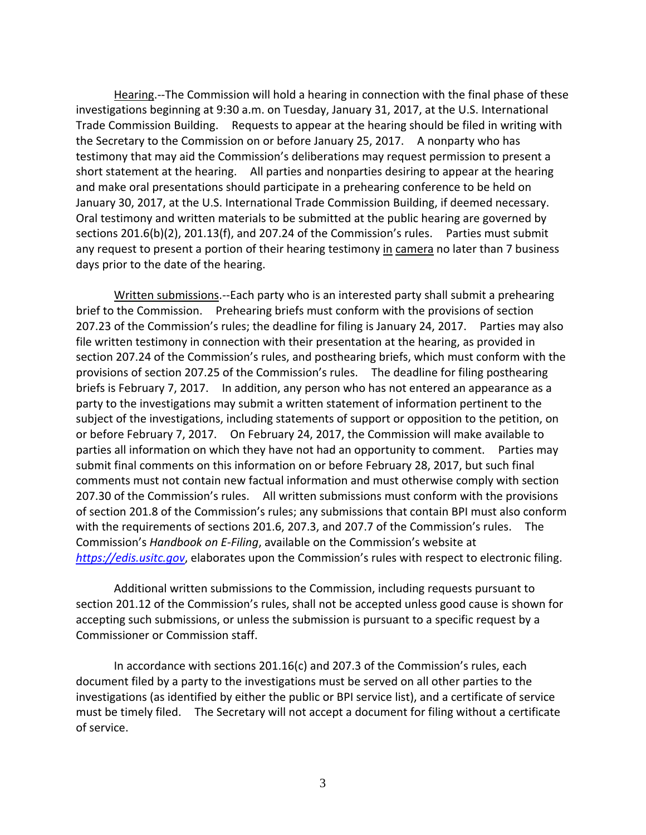Hearing.‐‐The Commission will hold a hearing in connection with the final phase of these investigations beginning at 9:30 a.m. on Tuesday, January 31, 2017, at the U.S. International Trade Commission Building. Requests to appear at the hearing should be filed in writing with the Secretary to the Commission on or before January 25, 2017. A nonparty who has testimony that may aid the Commission's deliberations may request permission to present a short statement at the hearing. All parties and nonparties desiring to appear at the hearing and make oral presentations should participate in a prehearing conference to be held on January 30, 2017, at the U.S. International Trade Commission Building, if deemed necessary. Oral testimony and written materials to be submitted at the public hearing are governed by sections 201.6(b)(2), 201.13(f), and 207.24 of the Commission's rules. Parties must submit any request to present a portion of their hearing testimony in camera no later than 7 business days prior to the date of the hearing.

Written submissions.--Each party who is an interested party shall submit a prehearing brief to the Commission. Prehearing briefs must conform with the provisions of section 207.23 of the Commission's rules; the deadline for filing is January 24, 2017. Parties may also file written testimony in connection with their presentation at the hearing, as provided in section 207.24 of the Commission's rules, and posthearing briefs, which must conform with the provisions of section 207.25 of the Commission's rules. The deadline for filing posthearing briefs is February 7, 2017. In addition, any person who has not entered an appearance as a party to the investigations may submit a written statement of information pertinent to the subject of the investigations, including statements of support or opposition to the petition, on or before February 7, 2017. On February 24, 2017, the Commission will make available to parties all information on which they have not had an opportunity to comment. Parties may submit final comments on this information on or before February 28, 2017, but such final comments must not contain new factual information and must otherwise comply with section 207.30 of the Commission's rules. All written submissions must conform with the provisions of section 201.8 of the Commission's rules; any submissions that contain BPI must also conform with the requirements of sections 201.6, 207.3, and 207.7 of the Commission's rules. The Commission's *Handbook on E‐Filing*, available on the Commission's website at *https://edis.usitc.gov*, elaborates upon the Commission's rules with respect to electronic filing.

Additional written submissions to the Commission, including requests pursuant to section 201.12 of the Commission's rules, shall not be accepted unless good cause is shown for accepting such submissions, or unless the submission is pursuant to a specific request by a Commissioner or Commission staff.

In accordance with sections 201.16(c) and 207.3 of the Commission's rules, each document filed by a party to the investigations must be served on all other parties to the investigations (as identified by either the public or BPI service list), and a certificate of service must be timely filed. The Secretary will not accept a document for filing without a certificate of service.